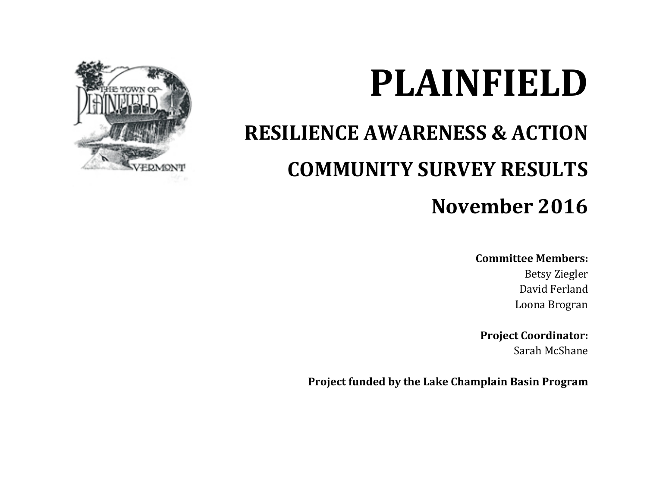

# **PLAINFIELD**

## **RESILIENCE AWARENESS & ACTION COMMUNITY SURVEY RESULTS**

### **November 2016**

#### **Committee Members:**

Betsy Ziegler David Ferland Loona Brogran

**Project Coordinator:** Sarah McShane

**Project funded by the Lake Champlain Basin Program**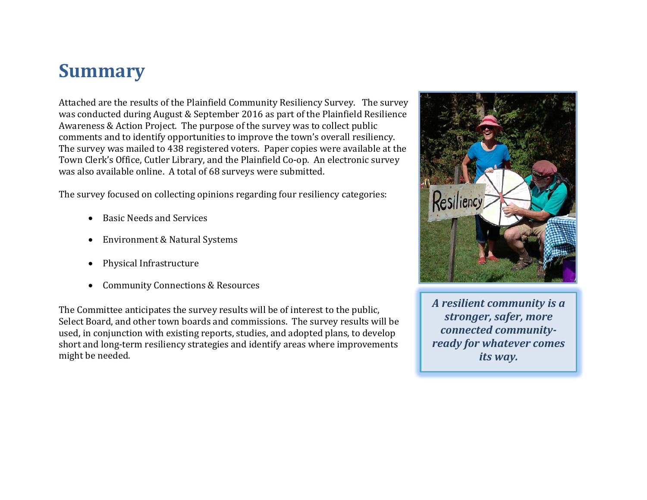### **Summary**

Attached are the results of the Plainfield Community Resiliency Survey. The survey was conducted during August & September 2016 as part of the Plainfield Resilience Awareness & Action Project. The purpose of the survey was to collect public comments and to identify opportunities to improve the town's overall resiliency. The survey was mailed to 438 registered voters. Paper copies were available at the Town Clerk's Office, Cutler Library, and the Plainfield Co-op. An electronic survey was also available online. A total of 68 surveys were submitted.

The survey focused on collecting opinions regarding four resiliency categories:

- Basic Needs and Services
- Environment & Natural Systems
- Physical Infrastructure
- Community Connections & Resources

The Committee anticipates the survey results will be of interest to the public, Select Board, and other town boards and commissions. The survey results will be used, in conjunction with existing reports, studies, and adopted plans, to develop short and long-term resiliency strategies and identify areas where improvements might be needed.



*A resilient community is a stronger, safer, more connected communityready for whatever comes its way.*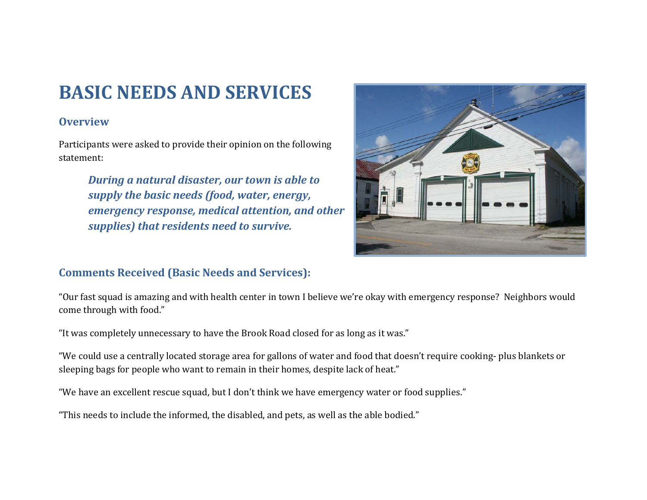### **BASIC NEEDS AND SERVICES**

#### **Overview**

Participants were asked to provide their opinion on the following statement:

> *During a natural disaster, our town is able to supply the basic needs (food, water, energy, emergency response, medical attention, and other supplies) that residents need to survive.*



#### **Comments Received (Basic Needs and Services):**

"Our fast squad is amazing and with health center in town I believe we're okay with emergency response? Neighbors would come through with food."

"It was completely unnecessary to have the Brook Road closed for as long as it was."

"We could use a centrally located storage area for gallons of water and food that doesn't require cooking- plus blankets or sleeping bags for people who want to remain in their homes, despite lack of heat."

"We have an excellent rescue squad, but I don't think we have emergency water or food supplies."

"This needs to include the informed, the disabled, and pets, as well as the able bodied."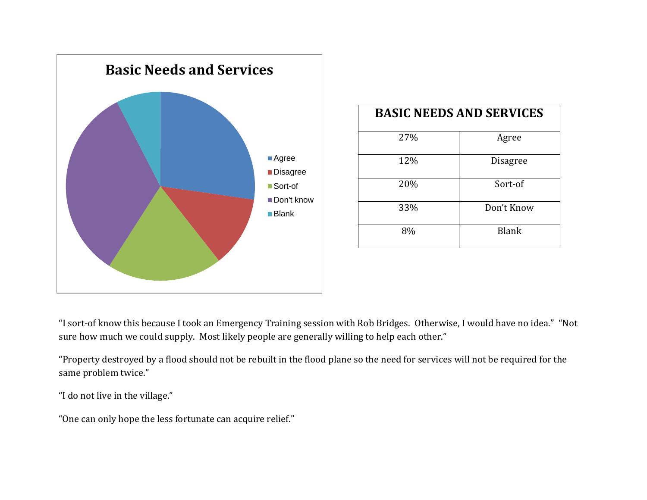

| <b>BASIC NEEDS AND SERVICES</b> |                 |
|---------------------------------|-----------------|
| 27%                             | Agree           |
| 12%                             | <b>Disagree</b> |
| 20%                             | Sort-of         |
| 33%                             | Don't Know      |
| 8%                              | <b>Blank</b>    |

"I sort-of know this because I took an Emergency Training session with Rob Bridges. Otherwise, I would have no idea." "Not sure how much we could supply. Most likely people are generally willing to help each other."

"Property destroyed by a flood should not be rebuilt in the flood plane so the need for services will not be required for the same problem twice."

"I do not live in the village."

"One can only hope the less fortunate can acquire relief."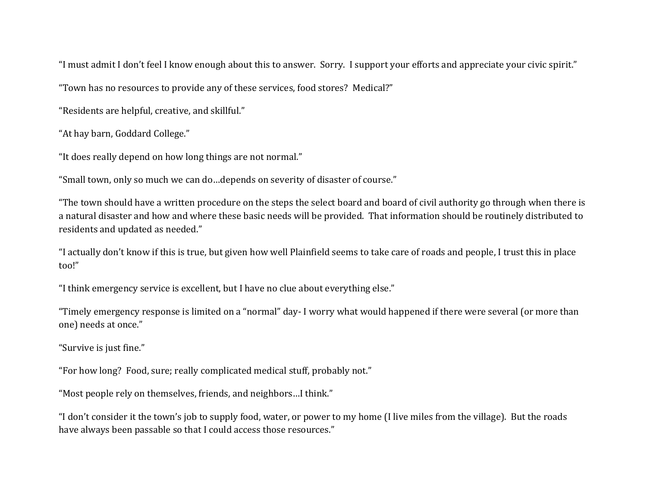"I must admit I don't feel I know enough about this to answer. Sorry. I support your efforts and appreciate your civic spirit."

"Town has no resources to provide any of these services, food stores? Medical?"

"Residents are helpful, creative, and skillful."

"At hay barn, Goddard College."

"It does really depend on how long things are not normal."

"Small town, only so much we can do…depends on severity of disaster of course."

"The town should have a written procedure on the steps the select board and board of civil authority go through when there is a natural disaster and how and where these basic needs will be provided. That information should be routinely distributed to residents and updated as needed."

"I actually don't know if this is true, but given how well Plainfield seems to take care of roads and people, I trust this in place too!"

"I think emergency service is excellent, but I have no clue about everything else."

"Timely emergency response is limited on a "normal" day- I worry what would happened if there were several (or more than one) needs at once."

"Survive is just fine."

"For how long? Food, sure; really complicated medical stuff, probably not."

"Most people rely on themselves, friends, and neighbors…I think."

"I don't consider it the town's job to supply food, water, or power to my home (I live miles from the village). But the roads have always been passable so that I could access those resources."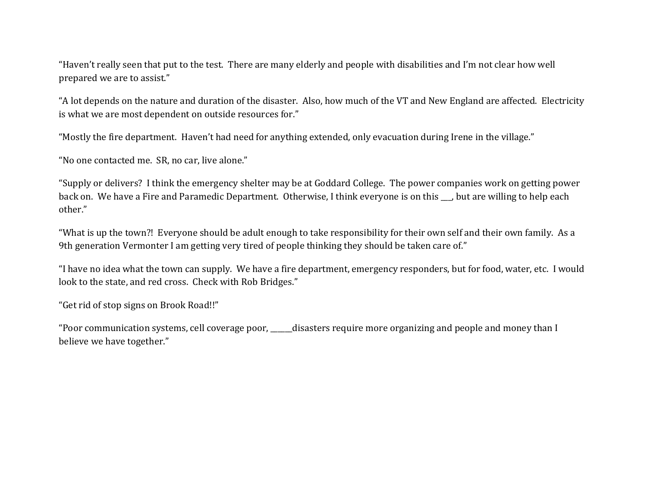"Haven't really seen that put to the test. There are many elderly and people with disabilities and I'm not clear how well prepared we are to assist."

"A lot depends on the nature and duration of the disaster. Also, how much of the VT and New England are affected. Electricity is what we are most dependent on outside resources for."

"Mostly the fire department. Haven't had need for anything extended, only evacuation during Irene in the village."

"No one contacted me. SR, no car, live alone."

"Supply or delivers? I think the emergency shelter may be at Goddard College. The power companies work on getting power back on. We have a Fire and Paramedic Department. Otherwise, I think everyone is on this \_\_, but are willing to help each other."

"What is up the town?! Everyone should be adult enough to take responsibility for their own self and their own family. As a 9th generation Vermonter I am getting very tired of people thinking they should be taken care of."

"I have no idea what the town can supply. We have a fire department, emergency responders, but for food, water, etc. I would look to the state, and red cross. Check with Rob Bridges."

"Get rid of stop signs on Brook Road!!"

"Poor communication systems, cell coverage poor, \_\_\_\_\_\_disasters require more organizing and people and money than I believe we have together."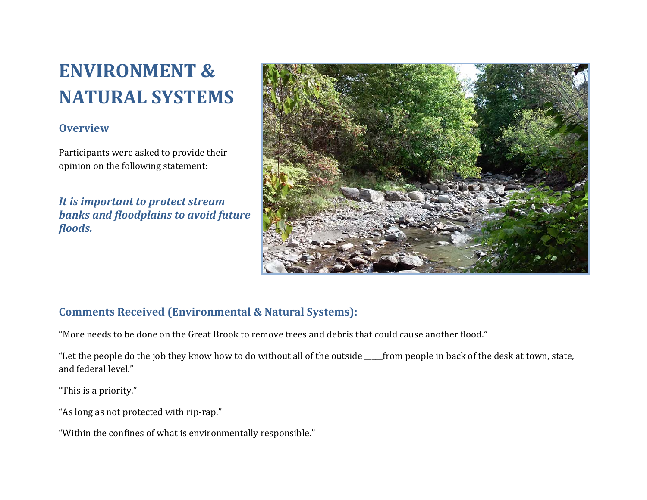### **ENVIRONMENT & NATURAL SYSTEMS**

#### **Overview**

Participants were asked to provide their opinion on the following statement:

*It is important to protect stream banks and floodplains to avoid future floods.*



#### **Comments Received (Environmental & Natural Systems):**

"More needs to be done on the Great Brook to remove trees and debris that could cause another flood."

"Let the people do the job they know how to do without all of the outside \_\_\_\_\_from people in back of the desk at town, state, and federal level."

"This is a priority."

"As long as not protected with rip-rap."

"Within the confines of what is environmentally responsible."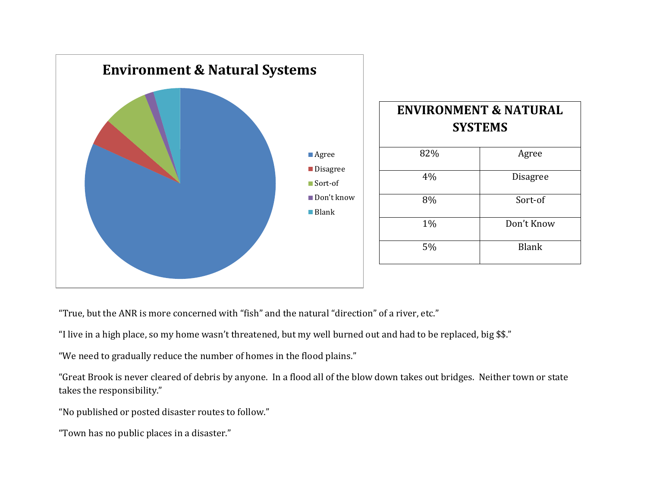

"True, but the ANR is more concerned with "fish" and the natural "direction" of a river, etc."

"I live in a high place, so my home wasn't threatened, but my well burned out and had to be replaced, big \$\$."

"We need to gradually reduce the number of homes in the flood plains."

"Great Brook is never cleared of debris by anyone. In a flood all of the blow down takes out bridges. Neither town or state takes the responsibility."

"No published or posted disaster routes to follow."

"Town has no public places in a disaster."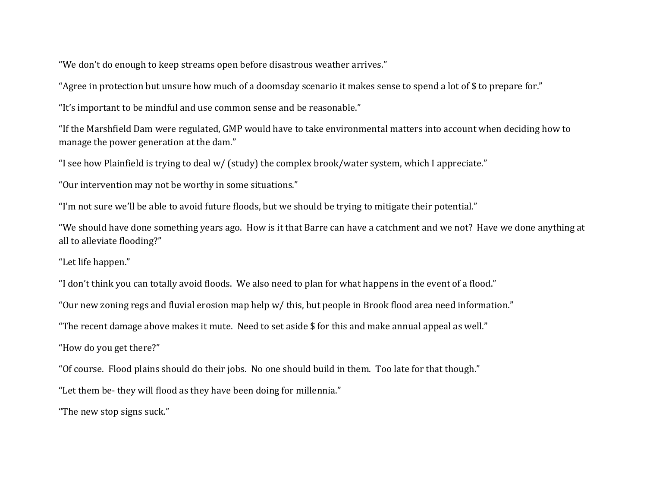"We don't do enough to keep streams open before disastrous weather arrives."

"Agree in protection but unsure how much of a doomsday scenario it makes sense to spend a lot of \$ to prepare for."

"It's important to be mindful and use common sense and be reasonable."

"If the Marshfield Dam were regulated, GMP would have to take environmental matters into account when deciding how to manage the power generation at the dam."

"I see how Plainfield is trying to deal w/ (study) the complex brook/water system, which I appreciate."

"Our intervention may not be worthy in some situations."

"I'm not sure we'll be able to avoid future floods, but we should be trying to mitigate their potential."

"We should have done something years ago. How is it that Barre can have a catchment and we not? Have we done anything at all to alleviate flooding?"

"Let life happen."

"I don't think you can totally avoid floods. We also need to plan for what happens in the event of a flood."

"Our new zoning regs and fluvial erosion map help w/ this, but people in Brook flood area need information."

"The recent damage above makes it mute. Need to set aside \$ for this and make annual appeal as well."

"How do you get there?"

"Of course. Flood plains should do their jobs. No one should build in them. Too late for that though."

"Let them be- they will flood as they have been doing for millennia."

"The new stop signs suck."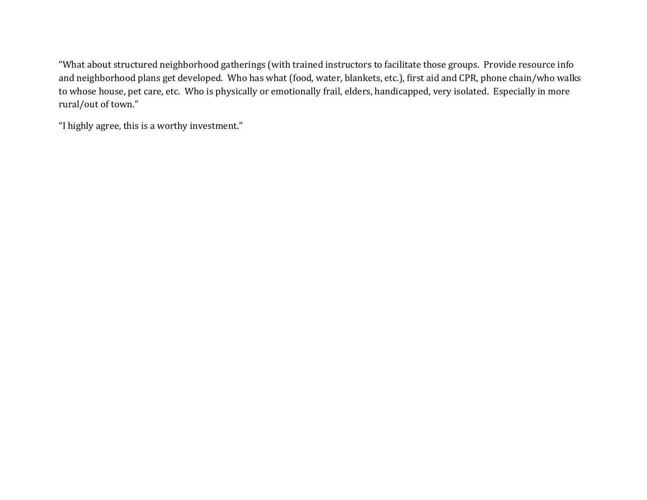"What about structured neighborhood gatherings (with trained instructors to facilitate those groups. Provide resource info and neighborhood plans get developed. Who has what (food, water, blankets, etc.), first aid and CPR, phone chain/who walks to whose house, pet care, etc. Who is physically or emotionally frail, elders, handicapped, very isolated. Especially in more rural/out of town."

"I highly agree, this is a worthy investment."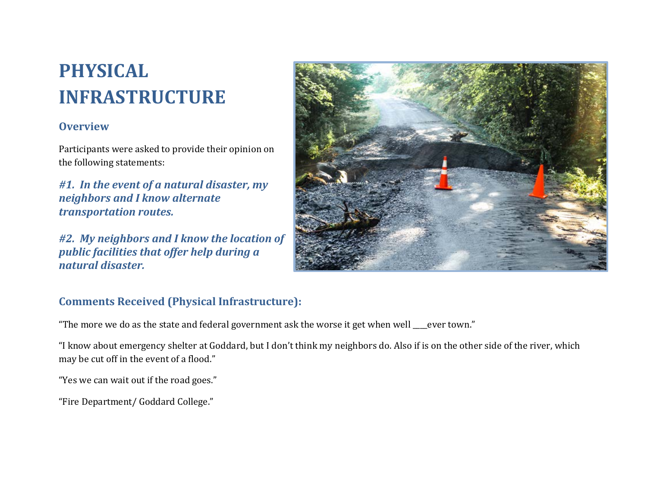### **PHYSICAL INFRASTRUCTURE**

#### **Overview**

Participants were asked to provide their opinion on the following statements:

*#1. In the event of a natural disaster, my neighbors and I know alternate transportation routes.*

*#2. My neighbors and I know the location of public facilities that offer help during a natural disaster.*



#### **Comments Received (Physical Infrastructure):**

"The more we do as the state and federal government ask the worse it get when well \_\_\_\_ever town."

"I know about emergency shelter at Goddard, but I don't think my neighbors do. Also if is on the other side of the river, which may be cut off in the event of a flood."

"Yes we can wait out if the road goes."

"Fire Department/ Goddard College."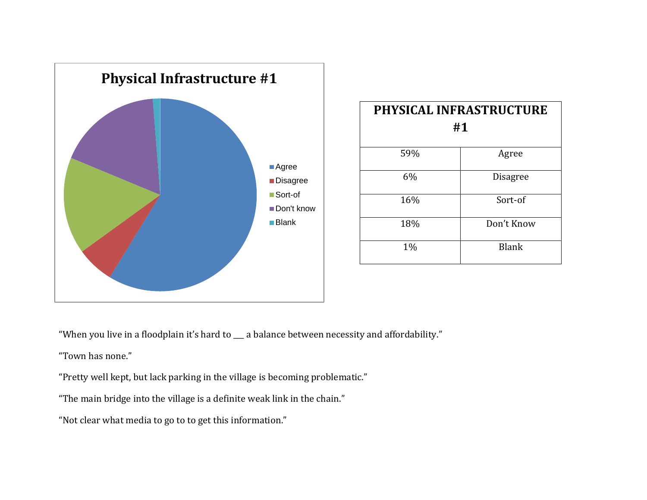

| PHYSICAL INFRASTRUCTURE<br>#1 |                 |
|-------------------------------|-----------------|
| 59%                           | Agree           |
| 6%                            | <b>Disagree</b> |
| 16%                           | Sort-of         |
| 18%                           | Don't Know      |
| 1%                            | <b>Blank</b>    |

"When you live in a floodplain it's hard to \_\_\_ a balance between necessity and affordability."

"Town has none."

"Pretty well kept, but lack parking in the village is becoming problematic."

"The main bridge into the village is a definite weak link in the chain."

"Not clear what media to go to to get this information."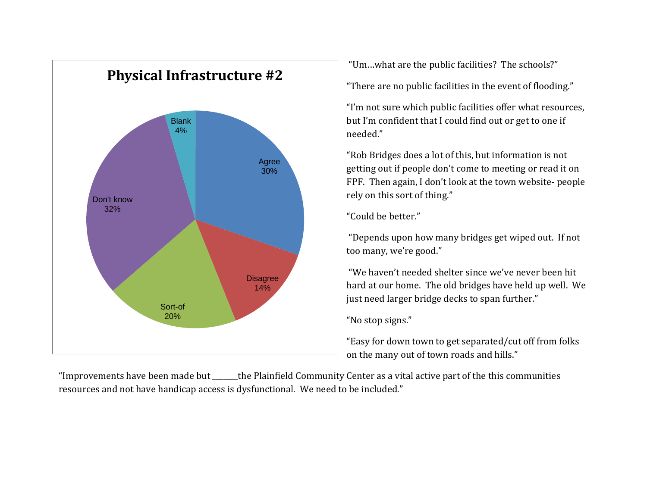

"Um…what are the public facilities? The schools?"

"There are no public facilities in the event of flooding."

"I'm not sure which public facilities offer what resources, but I'm confident that I could find out or get to one if needed."

"Rob Bridges does a lot of this, but information is not getting out if people don't come to meeting or read it on FPF. Then again, I don't look at the town website- people rely on this sort of thing."

"Could be better."

"Depends upon how many bridges get wiped out. If not too many, we're good."

"We haven't needed shelter since we've never been hit hard at our home. The old bridges have held up well. We just need larger bridge decks to span further."

"No stop signs."

"Easy for down town to get separated/cut off from folks on the many out of town roads and hills."

"Improvements have been made but \_\_\_\_\_\_\_the Plainfield Community Center as a vital active part of the this communities resources and not have handicap access is dysfunctional. We need to be included."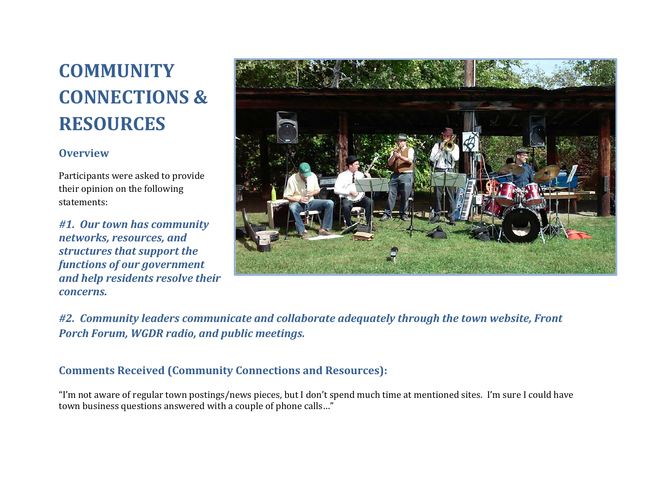### **COMMUNITY CONNECTIONS & RESOURCES**

#### **Overview**

Participants were asked to provide their opinion on the following statements:

*#1. Our town has community networks, resources, and structures that support the functions of our government and help residents resolve their concerns.*



*#2. Community leaders communicate and collaborate adequately through the town website, Front Porch Forum, WGDR radio, and public meetings.*

#### **Comments Received (Community Connections and Resources):**

"I'm not aware of regular town postings/news pieces, but I don't spend much time at mentioned sites. I'm sure I could have town business questions answered with a couple of phone calls…"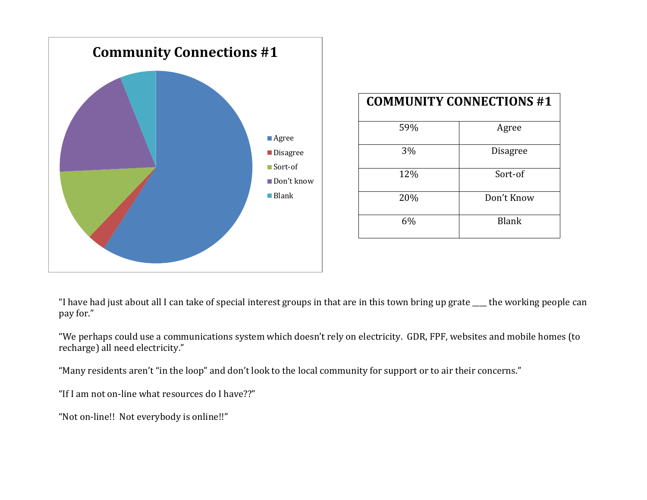

| <b>COMMUNITY CONNECTIONS #1</b> |                 |  |
|---------------------------------|-----------------|--|
| 59%                             | Agree           |  |
| 3%                              | <b>Disagree</b> |  |
| 12%                             | Sort-of         |  |
| 20%                             | Don't Know      |  |
| 6%                              | <b>Blank</b>    |  |

"I have had just about all I can take of special interest groups in that are in this town bring up grate \_\_\_\_ the working people can pay for."

"We perhaps could use a communications system which doesn't rely on electricity. GDR, FPF, websites and mobile homes (to recharge) all need electricity."

"Many residents aren't "in the loop" and don't look to the local community for support or to air their concerns."

"If I am not on-line what resources do I have??"

"Not on-line!! Not everybody is online!!"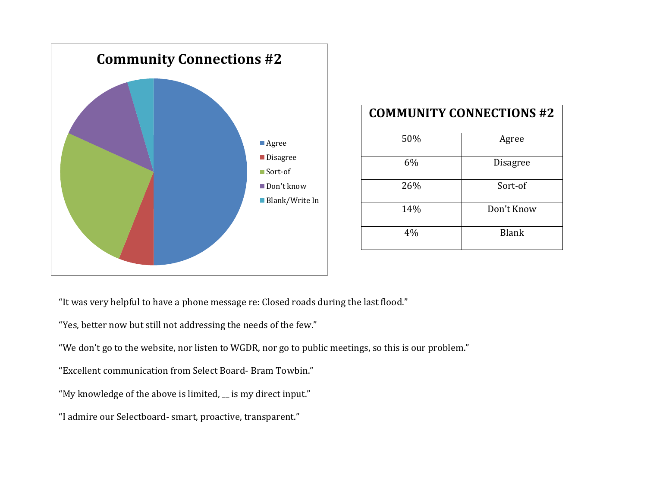

| <b>COMMUNITY CONNECTIONS #2</b> |                 |  |
|---------------------------------|-----------------|--|
| 50%                             | Agree           |  |
| 6%                              | <b>Disagree</b> |  |
| 26%                             | Sort-of         |  |
| 14%                             | Don't Know      |  |
| 4%                              | <b>Blank</b>    |  |

"It was very helpful to have a phone message re: Closed roads during the last flood."

"Yes, better now but still not addressing the needs of the few."

"We don't go to the website, nor listen to WGDR, nor go to public meetings, so this is our problem."

"Excellent communication from Select Board- Bram Towbin."

"My knowledge of the above is limited, \_\_ is my direct input."

"I admire our Selectboard- smart, proactive, transparent."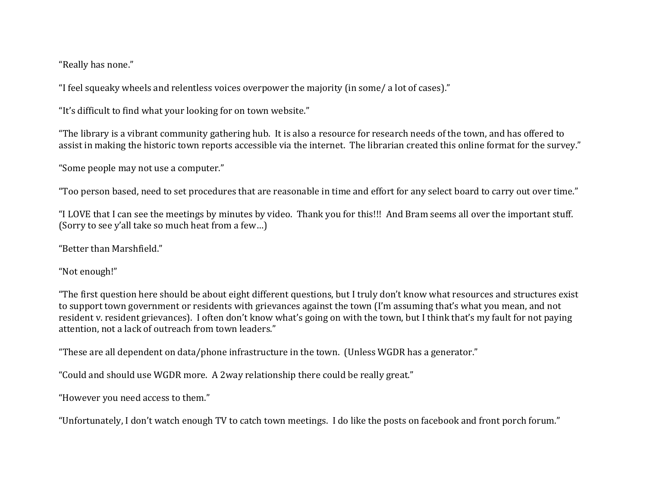"Really has none."

"I feel squeaky wheels and relentless voices overpower the majority (in some/ a lot of cases)."

"It's difficult to find what your looking for on town website."

"The library is a vibrant community gathering hub. It is also a resource for research needs of the town, and has offered to assist in making the historic town reports accessible via the internet. The librarian created this online format for the survey."

"Some people may not use a computer."

"Too person based, need to set procedures that are reasonable in time and effort for any select board to carry out over time."

"I LOVE that I can see the meetings by minutes by video. Thank you for this!!! And Bram seems all over the important stuff. (Sorry to see y'all take so much heat from a few…)

"Better than Marshfield."

"Not enough!"

"The first question here should be about eight different questions, but I truly don't know what resources and structures exist to support town government or residents with grievances against the town (I'm assuming that's what you mean, and not resident v. resident grievances). I often don't know what's going on with the town, but I think that's my fault for not paying attention, not a lack of outreach from town leaders."

"These are all dependent on data/phone infrastructure in the town. (Unless WGDR has a generator."

"Could and should use WGDR more. A 2way relationship there could be really great."

"However you need access to them."

"Unfortunately, I don't watch enough TV to catch town meetings. I do like the posts on facebook and front porch forum."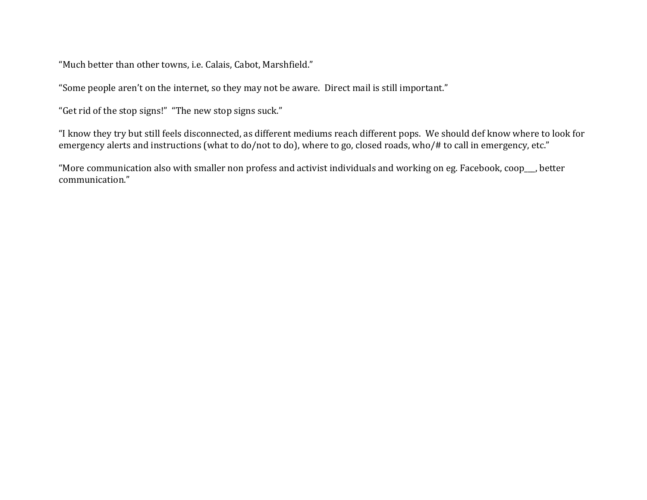"Much better than other towns, i.e. Calais, Cabot, Marshfield."

"Some people aren't on the internet, so they may not be aware. Direct mail is still important."

"Get rid of the stop signs!" "The new stop signs suck."

"I know they try but still feels disconnected, as different mediums reach different pops. We should def know where to look for emergency alerts and instructions (what to do/not to do), where to go, closed roads, who/# to call in emergency, etc."

"More communication also with smaller non profess and activist individuals and working on eg. Facebook, coop\_\_\_, better communication."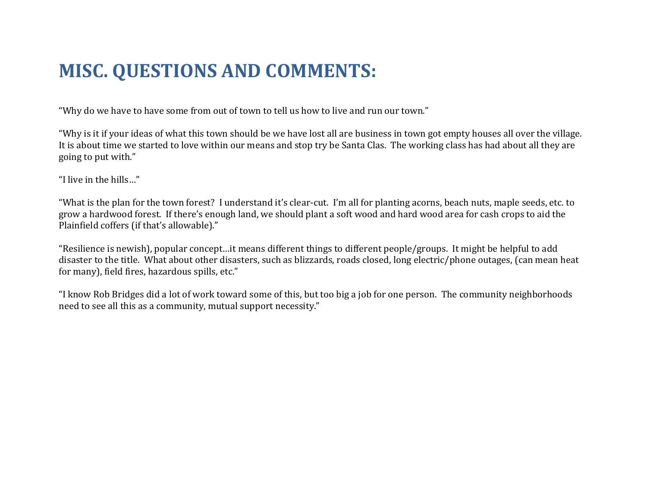### **MISC. QUESTIONS AND COMMENTS:**

"Why do we have to have some from out of town to tell us how to live and run our town."

"Why is it if your ideas of what this town should be we have lost all are business in town got empty houses all over the village. It is about time we started to love within our means and stop try be Santa Clas. The working class has had about all they are going to put with."

"I live in the hills…"

"What is the plan for the town forest? I understand it's clear-cut. I'm all for planting acorns, beach nuts, maple seeds, etc. to grow a hardwood forest. If there's enough land, we should plant a soft wood and hard wood area for cash crops to aid the Plainfield coffers (if that's allowable)."

"Resilience is newish), popular concept…it means different things to different people/groups. It might be helpful to add disaster to the title. What about other disasters, such as blizzards, roads closed, long electric/phone outages, (can mean heat for many), field fires, hazardous spills, etc."

"I know Rob Bridges did a lot of work toward some of this, but too big a job for one person. The community neighborhoods need to see all this as a community, mutual support necessity."